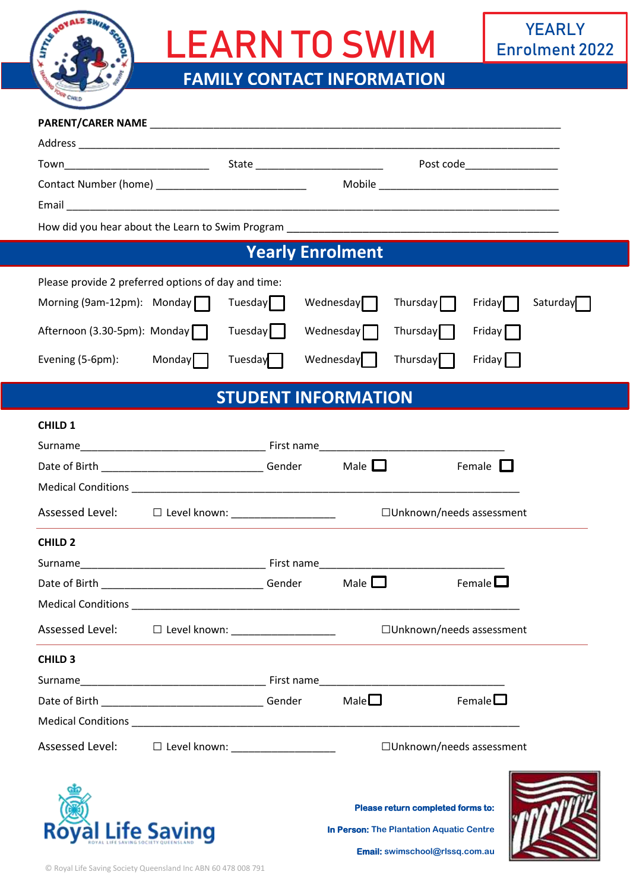

# LEARN TO SWIM

## **FAMILY CONTACT INFORMATION**

|                                                      |                                       |         |  |                            |                                                                               | Post code____________________ |          |  |  |
|------------------------------------------------------|---------------------------------------|---------|--|----------------------------|-------------------------------------------------------------------------------|-------------------------------|----------|--|--|
|                                                      |                                       |         |  |                            |                                                                               |                               |          |  |  |
|                                                      |                                       |         |  |                            |                                                                               |                               |          |  |  |
|                                                      |                                       |         |  |                            |                                                                               |                               |          |  |  |
|                                                      |                                       |         |  | <b>Yearly Enrolment</b>    |                                                                               |                               |          |  |  |
| Please provide 2 preferred options of day and time:  |                                       |         |  |                            |                                                                               |                               |          |  |  |
| Morning (9am-12pm): Monday                           |                                       | Tuesday |  | Wednesday                  | Thursday                                                                      | Friday                        | Saturday |  |  |
| Afternoon (3.30-5pm): Monday                         |                                       | Tuesday |  | Wednesday $\Box$           | Thursday                                                                      | Friday                        |          |  |  |
| Evening (5-6pm):                                     | <b>Monday</b>                         | Tuesday |  | Wednesday                  | Thursday <sup>[</sup>                                                         | Friday                        |          |  |  |
| <b>STUDENT INFORMATION</b>                           |                                       |         |  |                            |                                                                               |                               |          |  |  |
| <b>CHILD 1</b>                                       |                                       |         |  |                            |                                                                               |                               |          |  |  |
|                                                      |                                       |         |  |                            |                                                                               |                               |          |  |  |
|                                                      |                                       |         |  | Male $\Box$                |                                                                               | Female $\Box$                 |          |  |  |
|                                                      |                                       |         |  |                            |                                                                               |                               |          |  |  |
| Assessed Level:                                      | □ Level known: ______________________ |         |  |                            | □ Unknown/needs assessment                                                    |                               |          |  |  |
| <b>CHILD 2</b>                                       |                                       |         |  |                            |                                                                               |                               |          |  |  |
|                                                      |                                       |         |  |                            |                                                                               |                               |          |  |  |
| Date of Birth                                        |                                       |         |  | Male $\Box$                |                                                                               | Female $\Box$                 |          |  |  |
|                                                      |                                       |         |  |                            |                                                                               |                               |          |  |  |
| Assessed Level: □ Level known: _____________________ |                                       |         |  |                            | □ Unknown/needs assessment                                                    |                               |          |  |  |
| <b>CHILD 3</b>                                       |                                       |         |  |                            |                                                                               |                               |          |  |  |
|                                                      |                                       |         |  |                            |                                                                               |                               |          |  |  |
|                                                      |                                       |         |  | Male                       |                                                                               | Female $\square$              |          |  |  |
|                                                      |                                       |         |  |                            |                                                                               |                               |          |  |  |
| Assessed Level:                                      | □ Level known: _____________________  |         |  | □ Unknown/needs assessment |                                                                               |                               |          |  |  |
| <b>Roval Life Saving</b>                             |                                       |         |  |                            | Please return completed forms to:<br>In Person: The Plantation Aquatic Centre |                               |          |  |  |

**Email: swimschool@rlssq.com.au**